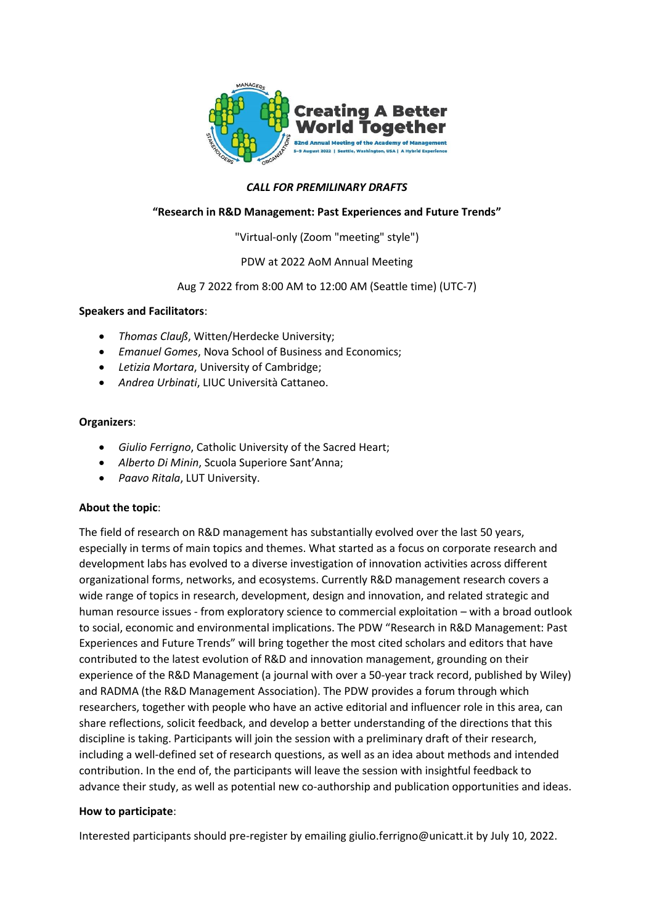

# *CALL FOR PREMILINARY DRAFTS*

# **"Research in R&D Management: Past Experiences and Future Trends"**

"Virtual-only (Zoom "meeting" style")

PDW at 2022 AoM Annual Meeting

# Aug 7 2022 from 8:00 AM to 12:00 AM (Seattle time) (UTC-7)

### **Speakers and Facilitators**:

- *Thomas Clauß*, Witten/Herdecke University;
- *Emanuel Gomes*, Nova School of Business and Economics;
- *Letizia Mortara*, University of Cambridge;
- *Andrea Urbinati*, LIUC Università Cattaneo.

### **Organizers**:

- *Giulio Ferrigno*, Catholic University of the Sacred Heart;
- *Alberto Di Minin*, Scuola Superiore Sant'Anna;
- *Paavo Ritala*, LUT University.

### **About the topic**:

The field of research on R&D management has substantially evolved over the last 50 years, especially in terms of main topics and themes. What started as a focus on corporate research and development labs has evolved to a diverse investigation of innovation activities across different organizational forms, networks, and ecosystems. Currently R&D management research covers a wide range of topics in research, development, design and innovation, and related strategic and human resource issues - from exploratory science to commercial exploitation – with a broad outlook to social, economic and environmental implications. The PDW "Research in R&D Management: Past Experiences and Future Trends" will bring together the most cited scholars and editors that have contributed to the latest evolution of R&D and innovation management, grounding on their experience of the R&D Management (a journal with over a 50-year track record, published by Wiley) and RADMA (the R&D Management Association). The PDW provides a forum through which researchers, together with people who have an active editorial and influencer role in this area, can share reflections, solicit feedback, and develop a better understanding of the directions that this discipline is taking. Participants will join the session with a preliminary draft of their research, including a well-defined set of research questions, as well as an idea about methods and intended contribution. In the end of, the participants will leave the session with insightful feedback to advance their study, as well as potential new co-authorship and publication opportunities and ideas.

### **How to participate**:

Interested participants should pre-register by emailing giulio.ferrigno@unicatt.it by July 10, 2022.